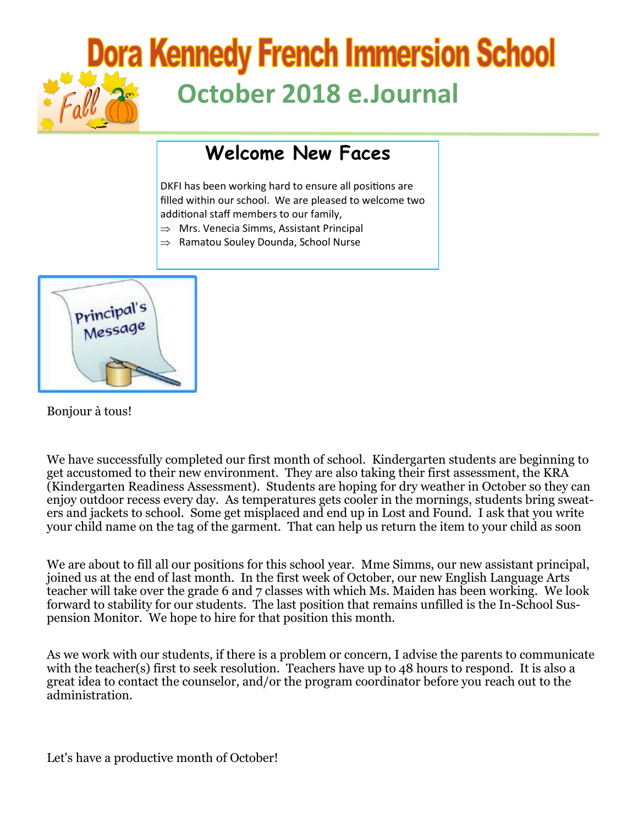# **Dora Kennedy French Immersion School October 2018 e.Journal**

## **Welcome New Faces**

DKFI has been working hard to ensure all positions are filled within our school. We are pleased to welcome two additional staff members to our family,

- $\Rightarrow$  Mrs. Venecia Simms, Assistant Principal
- $\Rightarrow$  Ramatou Souley Dounda, School Nurse



Bonjour à tous!

We have successfully completed our first month of school. Kindergarten students are beginning to get accustomed to their new environment. They are also taking their first assessment, the KRA (Kindergarten Readiness Assessment). Students are hoping for dry weather in October so they can enjoy outdoor recess every day. As temperatures gets cooler in the mornings, students bring sweaters and jackets to school. Some get misplaced and end up in Lost and Found. I ask that you write your child name on the tag of the garment. That can help us return the item to your child as soon

We are about to fill all our positions for this school year. Mme Simms, our new assistant principal, joined us at the end of last month. In the first week of October, our new English Language Arts teacher will take over the grade 6 and 7 classes with which Ms. Maiden has been working. We look forward to stability for our students. The last position that remains unfilled is the In-School Suspension Monitor. We hope to hire for that position this month.

As we work with our students, if there is a problem or concern, I advise the parents to communicate with the teacher(s) first to seek resolution. Teachers have up to 48 hours to respond. It is also a great idea to contact the counselor, and/or the program coordinator before you reach out to the administration.

Let's have a productive month of October!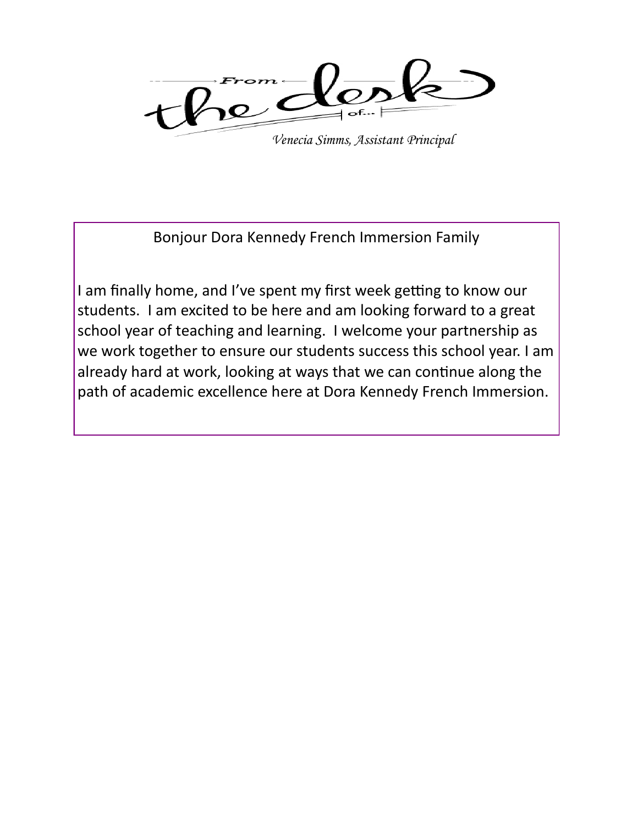

*Venecia Simms, Assistant Principal*

Bonjour Dora Kennedy French Immersion Family

I am finally home, and I've spent my first week getting to know our students. I am excited to be here and am looking forward to a great school year of teaching and learning. I welcome your partnership as we work together to ensure our students success this school year. I am already hard at work, looking at ways that we can continue along the path of academic excellence here at Dora Kennedy French Immersion.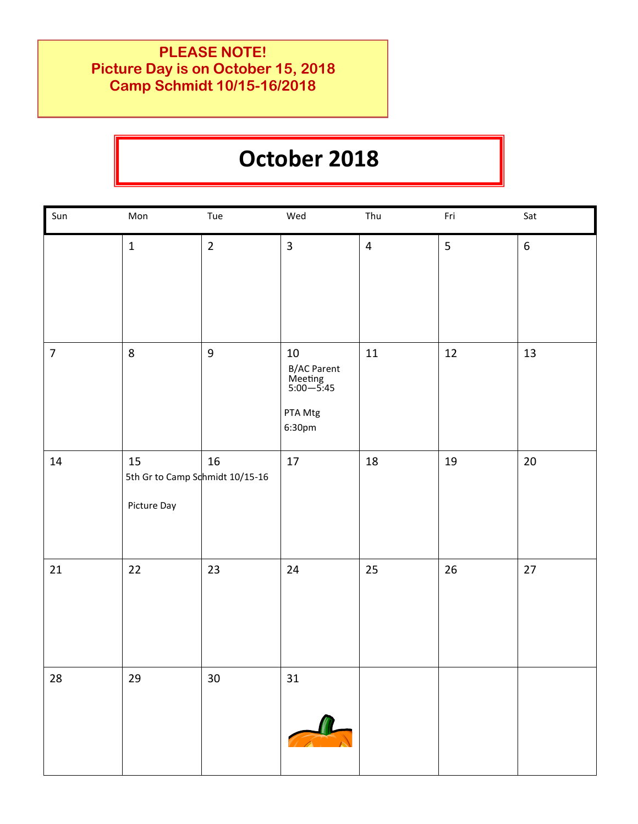### **PLEASE NOTE! Picture Day is on October 15, 2018 Camp Schmidt 10/15-16/2018**

## **October 2018**

| Sun            | Mon                                                  | Tue              | Wed                                                                | Thu            | Fri             | Sat    |
|----------------|------------------------------------------------------|------------------|--------------------------------------------------------------------|----------------|-----------------|--------|
|                | $\mathbf{1}$                                         | $\overline{2}$   | $\overline{3}$                                                     | $\overline{4}$ | $5\overline{)}$ | $6\,$  |
| $\overline{7}$ | $\,8\,$                                              | $\boldsymbol{9}$ | $10\,$<br>B/AC Parent<br>Meeting<br>5:00—5:45<br>PTA Mtg<br>6:30pm | $11\,$         | $12\,$          | 13     |
| 14             | 15<br>5th Gr to Camp Schmidt 10/15-16<br>Picture Day | 16               | $17\,$                                                             | 18             | $19\,$          | $20\,$ |
| 21             | 22                                                   | 23               | 24                                                                 | 25             | 26              | $27$   |
| 28             | 29                                                   | 30 <sub>o</sub>  | 31                                                                 |                |                 |        |